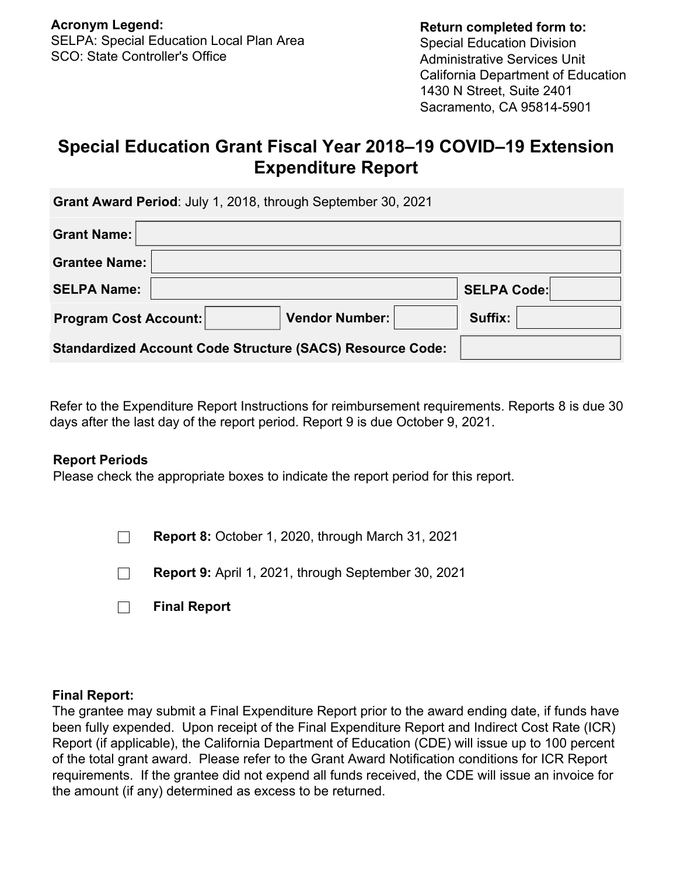# **Special Education Grant Fiscal Year 2018–19 COVID–19 Extension Expenditure Report**

 **Grant Award Period**: July 1, 2018, through September 30, 2021

| <b>Grant Name:</b>                                               |                    |
|------------------------------------------------------------------|--------------------|
| <b>Grantee Name:</b>                                             |                    |
| <b>SELPA Name:</b>                                               | <b>SELPA Code:</b> |
| <b>Vendor Number:</b><br><b>Program Cost Account:</b>            | Suffix:            |
| <b>Standardized Account Code Structure (SACS) Resource Code:</b> |                    |

Refer to the Expenditure Report Instructions for reimbursement requirements. Reports 8 is due 30 days after the last day of the report period. Report 9 is due October 9, 2021.

### **Report Periods**

Please check the appropriate boxes to indicate the report period for this report.

 $\Box$ **Report 8:** October 1, 2020, through March 31, 2021

**Report 9:** April 1, 2021, through September 30, 2021  $\Box$ 

|  | <b>Final Report</b> |  |
|--|---------------------|--|
|  |                     |  |

### **Final Report:**

The grantee may submit a Final Expenditure Report prior to the award ending date, if funds have been fully expended. Upon receipt of the Final Expenditure Report and Indirect Cost Rate (ICR) Report (if applicable), the California Department of Education (CDE) will issue up to 100 percent of the total grant award. Please refer to the Grant Award Notification conditions for ICR Report requirements. If the grantee did not expend all funds received, the CDE will issue an invoice for the amount (if any) determined as excess to be returned.